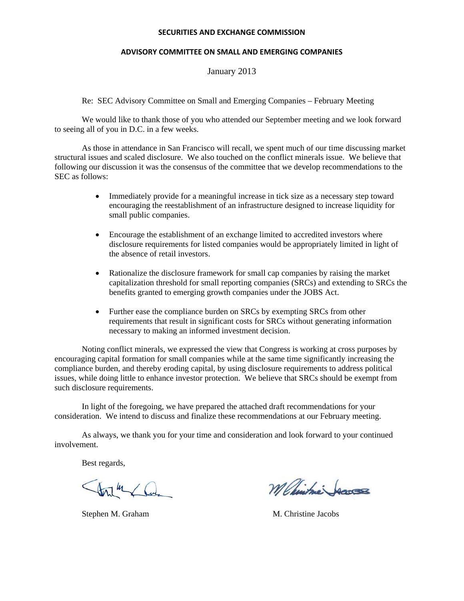#### **SECURITIES AND EXCHANGE COMMISSION**

#### **ADVISORY COMMITTEE ON SMALL AND EMERGING COMPANIES**

#### January 2013

Re: SEC Advisory Committee on Small and Emerging Companies – February Meeting

We would like to thank those of you who attended our September meeting and we look forward to seeing all of you in D.C. in a few weeks.

As those in attendance in San Francisco will recall, we spent much of our time discussing market structural issues and scaled disclosure. We also touched on the conflict minerals issue. We believe that following our discussion it was the consensus of the committee that we develop recommendations to the SEC as follows:

- Immediately provide for a meaningful increase in tick size as a necessary step toward encouraging the reestablishment of an infrastructure designed to increase liquidity for small public companies.
- Encourage the establishment of an exchange limited to accredited investors where disclosure requirements for listed companies would be appropriately limited in light of the absence of retail investors.
- Rationalize the disclosure framework for small cap companies by raising the market capitalization threshold for small reporting companies (SRCs) and extending to SRCs the benefits granted to emerging growth companies under the JOBS Act.
- Further ease the compliance burden on SRCs by exempting SRCs from other requirements that result in significant costs for SRCs without generating information necessary to making an informed investment decision.

Noting conflict minerals, we expressed the view that Congress is working at cross purposes by encouraging capital formation for small companies while at the same time significantly increasing the compliance burden, and thereby eroding capital, by using disclosure requirements to address political issues, while doing little to enhance investor protection. We believe that SRCs should be exempt from such disclosure requirements.

In light of the foregoing, we have prepared the attached draft recommendations for your consideration. We intend to discuss and finalize these recommendations at our February meeting.

As always, we thank you for your time and consideration and look forward to your continued involvement.

Best regards,

 $\neg$  k

M Chintme Jaco

Stephen M. Graham M. Christine Jacobs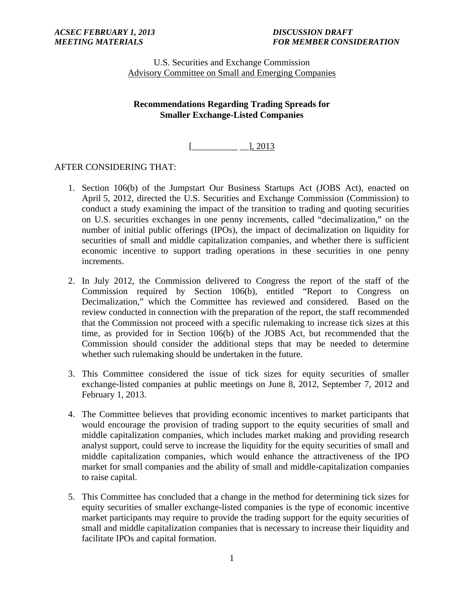#### **Recommendations Regarding Trading Spreads for Smaller Exchange-Listed Companies**

 $[ ], 2013$ 

#### AFTER CONSIDERING THAT:

- 1. Section 106(b) of the Jumpstart Our Business Startups Act (JOBS Act), enacted on April 5, 2012, directed the U.S. Securities and Exchange Commission (Commission) to conduct a study examining the impact of the transition to trading and quoting securities on U.S. securities exchanges in one penny increments, called "decimalization," on the number of initial public offerings (IPOs), the impact of decimalization on liquidity for securities of small and middle capitalization companies, and whether there is sufficient economic incentive to support trading operations in these securities in one penny increments.
- 2. In July 2012, the Commission delivered to Congress the report of the staff of the Commission required by Section 106(b), entitled "Report to Congress on Decimalization," which the Committee has reviewed and considered. Based on the review conducted in connection with the preparation of the report, the staff recommended that the Commission not proceed with a specific rulemaking to increase tick sizes at this time, as provided for in Section 106(b) of the JOBS Act, but recommended that the Commission should consider the additional steps that may be needed to determine whether such rulemaking should be undertaken in the future.
- 3. This Committee considered the issue of tick sizes for equity securities of smaller exchange-listed companies at public meetings on June 8, 2012, September 7, 2012 and February 1, 2013.
- 4. The Committee believes that providing economic incentives to market participants that would encourage the provision of trading support to the equity securities of small and middle capitalization companies, which includes market making and providing research analyst support, could serve to increase the liquidity for the equity securities of small and middle capitalization companies, which would enhance the attractiveness of the IPO market for small companies and the ability of small and middle-capitalization companies to raise capital.
- 5. This Committee has concluded that a change in the method for determining tick sizes for equity securities of smaller exchange-listed companies is the type of economic incentive market participants may require to provide the trading support for the equity securities of small and middle capitalization companies that is necessary to increase their liquidity and facilitate IPOs and capital formation.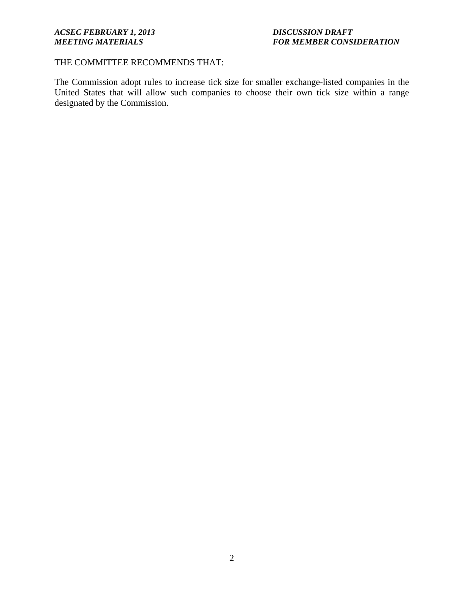## *ACSEC FEBRUARY 1, 2013 DISCUSSION DRAFT*

## **FOR MEMBER CONSIDERATION**

#### THE COMMITTEE RECOMMENDS THAT:

The Commission adopt rules to increase tick size for smaller exchange-listed companies in the United States that will allow such companies to choose their own tick size within a range designated by the Commission.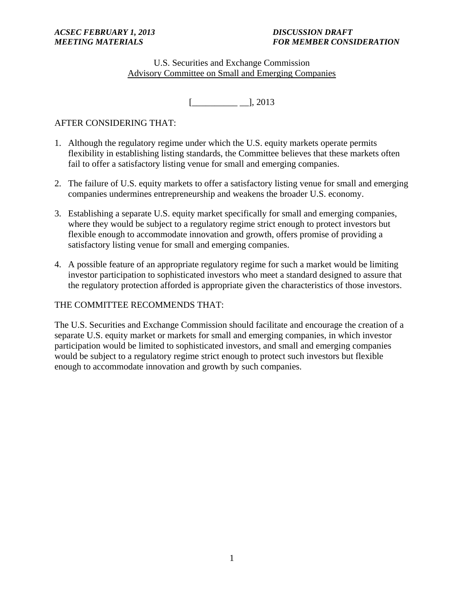$[ ], 2013$ 

### AFTER CONSIDERING THAT:

- 1. Although the regulatory regime under which the U.S. equity markets operate permits flexibility in establishing listing standards, the Committee believes that these markets often fail to offer a satisfactory listing venue for small and emerging companies.
- 2. The failure of U.S. equity markets to offer a satisfactory listing venue for small and emerging companies undermines entrepreneurship and weakens the broader U.S. economy.
- 3. Establishing a separate U.S. equity market specifically for small and emerging companies, where they would be subject to a regulatory regime strict enough to protect investors but flexible enough to accommodate innovation and growth, offers promise of providing a satisfactory listing venue for small and emerging companies.
- 4. A possible feature of an appropriate regulatory regime for such a market would be limiting investor participation to sophisticated investors who meet a standard designed to assure that the regulatory protection afforded is appropriate given the characteristics of those investors.

## THE COMMITTEE RECOMMENDS THAT:

The U.S. Securities and Exchange Commission should facilitate and encourage the creation of a separate U.S. equity market or markets for small and emerging companies, in which investor participation would be limited to sophisticated investors, and small and emerging companies would be subject to a regulatory regime strict enough to protect such investors but flexible enough to accommodate innovation and growth by such companies.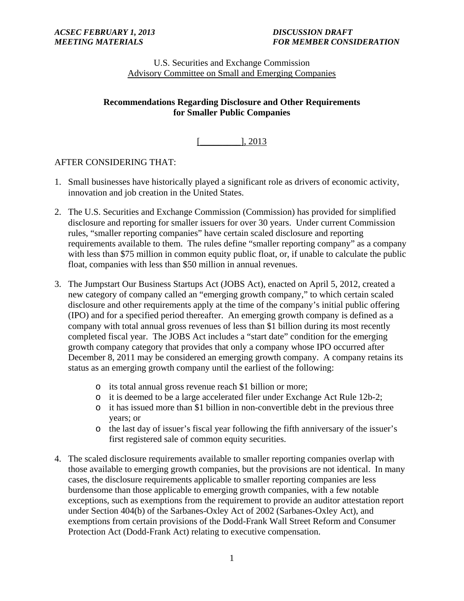## **Recommendations Regarding Disclosure and Other Requirements for Smaller Public Companies**

 $\lbrack 2013 \rbrack$ 

### AFTER CONSIDERING THAT:

- 1. Small businesses have historically played a significant role as drivers of economic activity, innovation and job creation in the United States.
- 2. The U.S. Securities and Exchange Commission (Commission) has provided for simplified disclosure and reporting for smaller issuers for over 30 years. Under current Commission rules, "smaller reporting companies" have certain scaled disclosure and reporting requirements available to them. The rules define "smaller reporting company" as a company with less than \$75 million in common equity public float, or, if unable to calculate the public float, companies with less than \$50 million in annual revenues.
- 3. The Jumpstart Our Business Startups Act (JOBS Act), enacted on April 5, 2012, created a new category of company called an "emerging growth company," to which certain scaled disclosure and other requirements apply at the time of the company's initial public offering (IPO) and for a specified period thereafter. An emerging growth company is defined as a company with total annual gross revenues of less than \$1 billion during its most recently completed fiscal year. The JOBS Act includes a "start date" condition for the emerging growth company category that provides that only a company whose IPO occurred after December 8, 2011 may be considered an emerging growth company. A company retains its status as an emerging growth company until the earliest of the following:
	- o its total annual gross revenue reach \$1 billion or more;
	- o it is deemed to be a large accelerated filer under Exchange Act Rule 12b-2;
	- $\circ$  it has issued more than \$1 billion in non-convertible debt in the previous three years; or
	- o the last day of issuer's fiscal year following the fifth anniversary of the issuer's first registered sale of common equity securities.
- 4. The scaled disclosure requirements available to smaller reporting companies overlap with those available to emerging growth companies, but the provisions are not identical. In many cases, the disclosure requirements applicable to smaller reporting companies are less burdensome than those applicable to emerging growth companies, with a few notable exceptions, such as exemptions from the requirement to provide an auditor attestation report under Section 404(b) of the Sarbanes-Oxley Act of 2002 (Sarbanes-Oxley Act), and exemptions from certain provisions of the Dodd-Frank Wall Street Reform and Consumer Protection Act (Dodd-Frank Act) relating to executive compensation.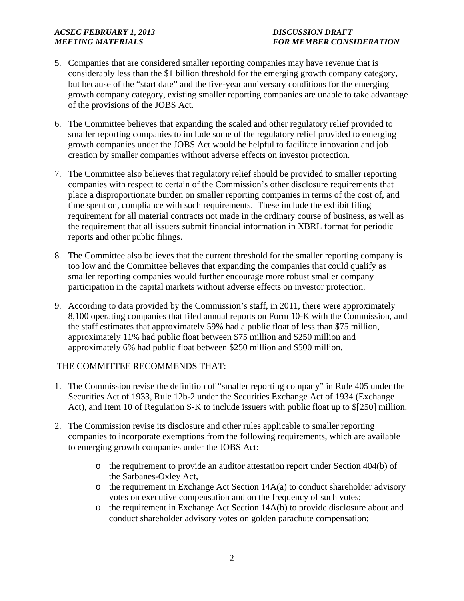## *ACSEC FEBRUARY 1, 2013 DISCUSSION DRAFT*

# *MEETING MATERIALS FOR MEMBER CONSIDERATION*

- 5. Companies that are considered smaller reporting companies may have revenue that is considerably less than the \$1 billion threshold for the emerging growth company category, but because of the "start date" and the five-year anniversary conditions for the emerging growth company category, existing smaller reporting companies are unable to take advantage of the provisions of the JOBS Act.
- 6. The Committee believes that expanding the scaled and other regulatory relief provided to smaller reporting companies to include some of the regulatory relief provided to emerging growth companies under the JOBS Act would be helpful to facilitate innovation and job creation by smaller companies without adverse effects on investor protection.
- 7. The Committee also believes that regulatory relief should be provided to smaller reporting companies with respect to certain of the Commission's other disclosure requirements that place a disproportionate burden on smaller reporting companies in terms of the cost of, and time spent on, compliance with such requirements. These include the exhibit filing requirement for all material contracts not made in the ordinary course of business, as well as the requirement that all issuers submit financial information in XBRL format for periodic reports and other public filings.
- 8. The Committee also believes that the current threshold for the smaller reporting company is too low and the Committee believes that expanding the companies that could qualify as smaller reporting companies would further encourage more robust smaller company participation in the capital markets without adverse effects on investor protection.
- 9. According to data provided by the Commission's staff, in 2011, there were approximately 8,100 operating companies that filed annual reports on Form 10-K with the Commission, and the staff estimates that approximately 59% had a public float of less than \$75 million, approximately 11% had public float between \$75 million and \$250 million and approximately 6% had public float between \$250 million and \$500 million.

### THE COMMITTEE RECOMMENDS THAT:

- 1. The Commission revise the definition of "smaller reporting company" in Rule 405 under the Securities Act of 1933, Rule 12b-2 under the Securities Exchange Act of 1934 (Exchange Act), and Item 10 of Regulation S-K to include issuers with public float up to \$[250] million.
- 2. The Commission revise its disclosure and other rules applicable to smaller reporting companies to incorporate exemptions from the following requirements, which are available to emerging growth companies under the JOBS Act:
	- $\circ$  the requirement to provide an auditor attestation report under Section 404(b) of the Sarbanes-Oxley Act,
	- $\circ$  the requirement in Exchange Act Section 14A(a) to conduct shareholder advisory votes on executive compensation and on the frequency of such votes;
	- $\circ$  the requirement in Exchange Act Section 14A(b) to provide disclosure about and conduct shareholder advisory votes on golden parachute compensation;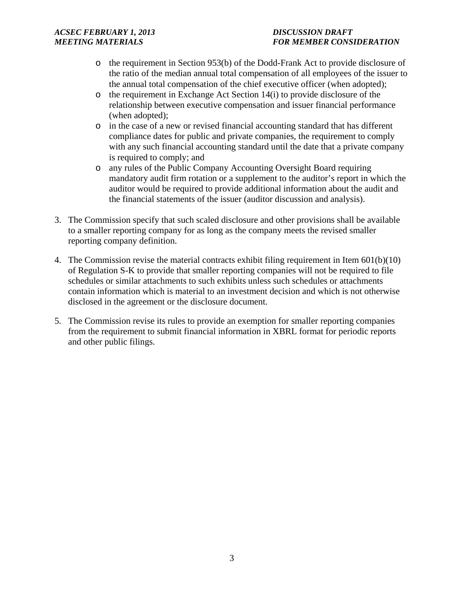# *MEETING MATERIALS FOR MEMBER CONSIDERATION*

- o the requirement in Section 953(b) of the Dodd-Frank Act to provide disclosure of the ratio of the median annual total compensation of all employees of the issuer to the annual total compensation of the chief executive officer (when adopted);
- $\circ$  the requirement in Exchange Act Section 14(i) to provide disclosure of the relationship between executive compensation and issuer financial performance (when adopted);
- $\circ$  in the case of a new or revised financial accounting standard that has different compliance dates for public and private companies, the requirement to comply with any such financial accounting standard until the date that a private company is required to comply; and
- o any rules of the Public Company Accounting Oversight Board requiring mandatory audit firm rotation or a supplement to the auditor's report in which the auditor would be required to provide additional information about the audit and the financial statements of the issuer (auditor discussion and analysis).
- 3. The Commission specify that such scaled disclosure and other provisions shall be available to a smaller reporting company for as long as the company meets the revised smaller reporting company definition.
- 4. The Commission revise the material contracts exhibit filing requirement in Item  $601(b)(10)$ of Regulation S-K to provide that smaller reporting companies will not be required to file schedules or similar attachments to such exhibits unless such schedules or attachments contain information which is material to an investment decision and which is not otherwise disclosed in the agreement or the disclosure document.
- 5. The Commission revise its rules to provide an exemption for smaller reporting companies from the requirement to submit financial information in XBRL format for periodic reports and other public filings.